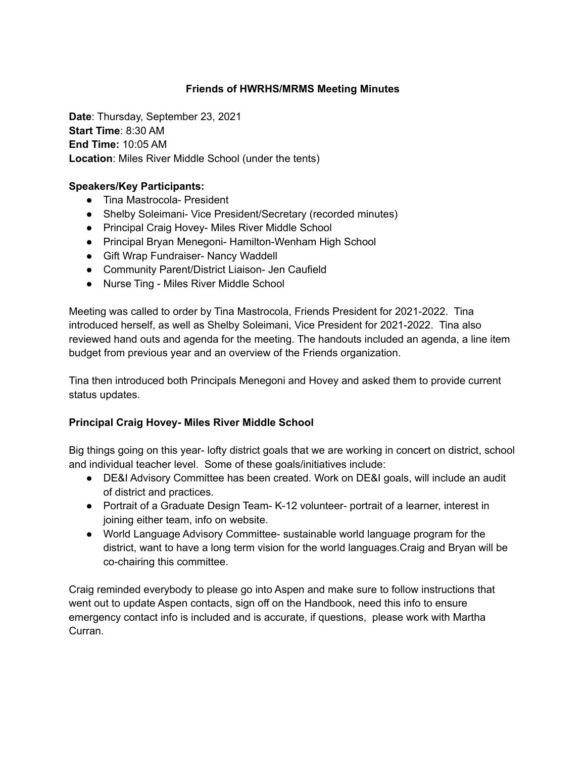## **Friends of HWRHS/MRMS Meeting Minutes**

**Date**: Thursday, September 23, 2021 **Start Time**: 8:30 AM **End Time:** 10:05 AM **Location**: Miles River Middle School (under the tents)

### **Speakers/Key Participants:**

- Tina Mastrocola- President
- Shelby Soleimani- Vice President/Secretary (recorded minutes)
- Principal Craig Hovey- Miles River Middle School
- Principal Bryan Menegoni- Hamilton-Wenham High School
- Gift Wrap Fundraiser- Nancy Waddell
- Community Parent/District Liaison- Jen Caufield
- Nurse Ting Miles River Middle School

Meeting was called to order by Tina Mastrocola, Friends President for 2021-2022. Tina introduced herself, as well as Shelby Soleimani, Vice President for 2021-2022. Tina also reviewed hand outs and agenda for the meeting. The handouts included an agenda, a line item budget from previous year and an overview of the Friends organization.

Tina then introduced both Principals Menegoni and Hovey and asked them to provide current status updates.

#### **Principal Craig Hovey- Miles River Middle School**

Big things going on this year- lofty district goals that we are working in concert on district, school and individual teacher level. Some of these goals/initiatives include:

- DE&I Advisory Committee has been created. Work on DE&I goals, will include an audit of district and practices.
- Portrait of a Graduate Design Team- K-12 volunteer- portrait of a learner, interest in joining either team, info on website.
- World Language Advisory Committee- sustainable world language program for the district, want to have a long term vision for the world languages.Craig and Bryan will be co-chairing this committee.

Craig reminded everybody to please go into Aspen and make sure to follow instructions that went out to update Aspen contacts, sign off on the Handbook, need this info to ensure emergency contact info is included and is accurate, if questions, please work with Martha Curran.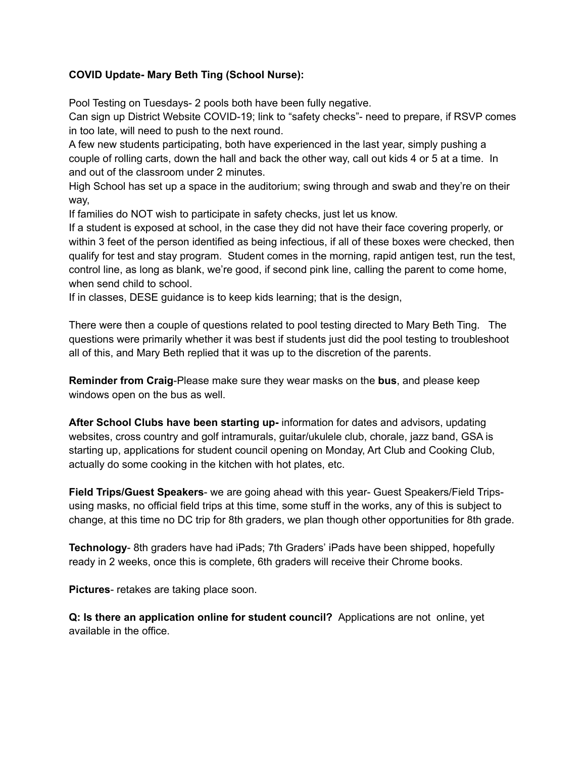## **COVID Update- Mary Beth Ting (School Nurse):**

Pool Testing on Tuesdays- 2 pools both have been fully negative.

Can sign up District Website COVID-19; link to "safety checks"- need to prepare, if RSVP comes in too late, will need to push to the next round.

A few new students participating, both have experienced in the last year, simply pushing a couple of rolling carts, down the hall and back the other way, call out kids 4 or 5 at a time. In and out of the classroom under 2 minutes.

High School has set up a space in the auditorium; swing through and swab and they're on their way,

If families do NOT wish to participate in safety checks, just let us know.

If a student is exposed at school, in the case they did not have their face covering properly, or within 3 feet of the person identified as being infectious, if all of these boxes were checked, then qualify for test and stay program. Student comes in the morning, rapid antigen test, run the test, control line, as long as blank, we're good, if second pink line, calling the parent to come home, when send child to school.

If in classes, DESE guidance is to keep kids learning; that is the design,

There were then a couple of questions related to pool testing directed to Mary Beth Ting. The questions were primarily whether it was best if students just did the pool testing to troubleshoot all of this, and Mary Beth replied that it was up to the discretion of the parents.

**Reminder from Craig**-Please make sure they wear masks on the **bus**, and please keep windows open on the bus as well.

**After School Clubs have been starting up-** information for dates and advisors, updating websites, cross country and golf intramurals, guitar/ukulele club, chorale, jazz band, GSA is starting up, applications for student council opening on Monday, Art Club and Cooking Club, actually do some cooking in the kitchen with hot plates, etc.

**Field Trips/Guest Speakers**- we are going ahead with this year- Guest Speakers/Field Tripsusing masks, no official field trips at this time, some stuff in the works, any of this is subject to change, at this time no DC trip for 8th graders, we plan though other opportunities for 8th grade.

**Technology**- 8th graders have had iPads; 7th Graders' iPads have been shipped, hopefully ready in 2 weeks, once this is complete, 6th graders will receive their Chrome books.

**Pictures**- retakes are taking place soon.

**Q: Is there an application online for student council?** Applications are not online, yet available in the office.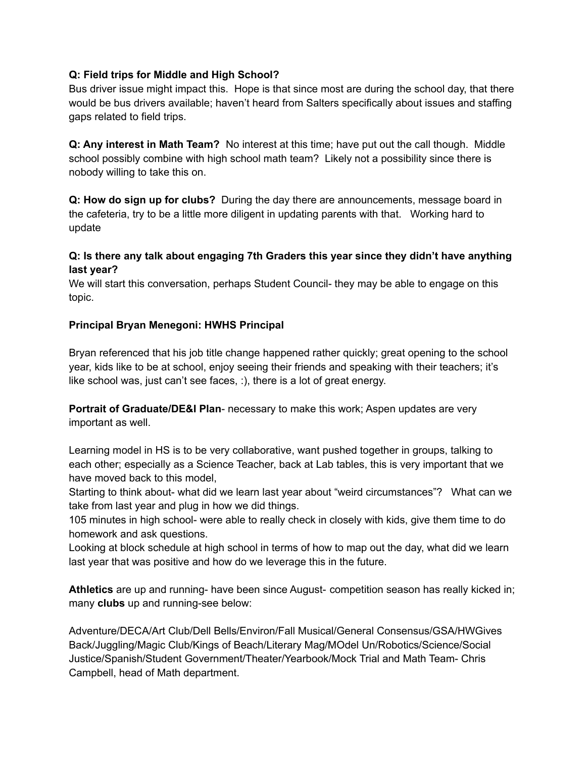#### **Q: Field trips for Middle and High School?**

Bus driver issue might impact this. Hope is that since most are during the school day, that there would be bus drivers available; haven't heard from Salters specifically about issues and staffing gaps related to field trips.

**Q: Any interest in Math Team?** No interest at this time; have put out the call though. Middle school possibly combine with high school math team? Likely not a possibility since there is nobody willing to take this on.

**Q: How do sign up for clubs?** During the day there are announcements, message board in the cafeteria, try to be a little more diligent in updating parents with that. Working hard to update

## **Q: Is there any talk about engaging 7th Graders this year since they didn't have anything last year?**

We will start this conversation, perhaps Student Council- they may be able to engage on this topic.

## **Principal Bryan Menegoni: HWHS Principal**

Bryan referenced that his job title change happened rather quickly; great opening to the school year, kids like to be at school, enjoy seeing their friends and speaking with their teachers; it's like school was, just can't see faces, :), there is a lot of great energy.

**Portrait of Graduate/DE&I Plan**- necessary to make this work; Aspen updates are very important as well.

Learning model in HS is to be very collaborative, want pushed together in groups, talking to each other; especially as a Science Teacher, back at Lab tables, this is very important that we have moved back to this model,

Starting to think about- what did we learn last year about "weird circumstances"? What can we take from last year and plug in how we did things.

105 minutes in high school- were able to really check in closely with kids, give them time to do homework and ask questions.

Looking at block schedule at high school in terms of how to map out the day, what did we learn last year that was positive and how do we leverage this in the future.

**Athletics** are up and running- have been since August- competition season has really kicked in; many **clubs** up and running-see below:

Adventure/DECA/Art Club/Dell Bells/Environ/Fall Musical/General Consensus/GSA/HWGives Back/Juggling/Magic Club/Kings of Beach/Literary Mag/MOdel Un/Robotics/Science/Social Justice/Spanish/Student Government/Theater/Yearbook/Mock Trial and Math Team- Chris Campbell, head of Math department.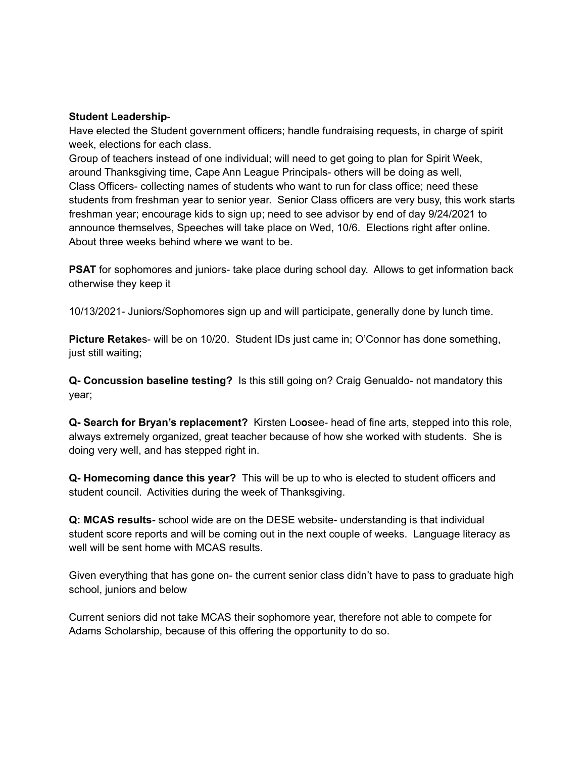#### **Student Leadership**-

Have elected the Student government officers; handle fundraising requests, in charge of spirit week, elections for each class.

Group of teachers instead of one individual; will need to get going to plan for Spirit Week, around Thanksgiving time, Cape Ann League Principals- others will be doing as well, Class Officers- collecting names of students who want to run for class office; need these students from freshman year to senior year. Senior Class officers are very busy, this work starts freshman year; encourage kids to sign up; need to see advisor by end of day 9/24/2021 to announce themselves, Speeches will take place on Wed, 10/6. Elections right after online. About three weeks behind where we want to be.

**PSAT** for sophomores and juniors- take place during school day. Allows to get information back otherwise they keep it

10/13/2021- Juniors/Sophomores sign up and will participate, generally done by lunch time.

**Picture Retake**s- will be on 10/20. Student IDs just came in; O'Connor has done something, just still waiting;

**Q- Concussion baseline testing?** Is this still going on? Craig Genualdo- not mandatory this year;

**Q- Search for Bryan's replacement?** Kirsten Lo**o**see- head of fine arts, stepped into this role, always extremely organized, great teacher because of how she worked with students. She is doing very well, and has stepped right in.

**Q- Homecoming dance this year?** This will be up to who is elected to student officers and student council. Activities during the week of Thanksgiving.

**Q: MCAS results-** school wide are on the DESE website- understanding is that individual student score reports and will be coming out in the next couple of weeks. Language literacy as well will be sent home with MCAS results.

Given everything that has gone on- the current senior class didn't have to pass to graduate high school, juniors and below

Current seniors did not take MCAS their sophomore year, therefore not able to compete for Adams Scholarship, because of this offering the opportunity to do so.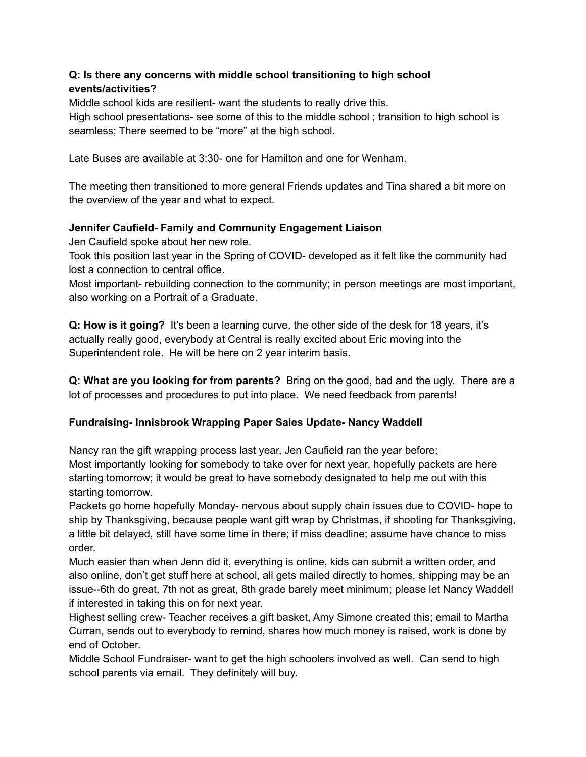# **Q: Is there any concerns with middle school transitioning to high school events/activities?**

Middle school kids are resilient- want the students to really drive this. High school presentations- see some of this to the middle school ; transition to high school is seamless; There seemed to be "more" at the high school.

Late Buses are available at 3:30- one for Hamilton and one for Wenham.

The meeting then transitioned to more general Friends updates and Tina shared a bit more on the overview of the year and what to expect.

# **Jennifer Caufield- Family and Community Engagement Liaison**

Jen Caufield spoke about her new role.

Took this position last year in the Spring of COVID- developed as it felt like the community had lost a connection to central office.

Most important- rebuilding connection to the community; in person meetings are most important, also working on a Portrait of a Graduate.

**Q: How is it going?** It's been a learning curve, the other side of the desk for 18 years, it's actually really good, everybody at Central is really excited about Eric moving into the Superintendent role. He will be here on 2 year interim basis.

**Q: What are you looking for from parents?** Bring on the good, bad and the ugly. There are a lot of processes and procedures to put into place. We need feedback from parents!

# **Fundraising- Innisbrook Wrapping Paper Sales Update- Nancy Waddell**

Nancy ran the gift wrapping process last year, Jen Caufield ran the year before; Most importantly looking for somebody to take over for next year, hopefully packets are here starting tomorrow; it would be great to have somebody designated to help me out with this starting tomorrow.

Packets go home hopefully Monday- nervous about supply chain issues due to COVID- hope to ship by Thanksgiving, because people want gift wrap by Christmas, if shooting for Thanksgiving, a little bit delayed, still have some time in there; if miss deadline; assume have chance to miss order.

Much easier than when Jenn did it, everything is online, kids can submit a written order, and also online, don't get stuff here at school, all gets mailed directly to homes, shipping may be an issue--6th do great, 7th not as great, 8th grade barely meet minimum; please let Nancy Waddell if interested in taking this on for next year.

Highest selling crew- Teacher receives a gift basket, Amy Simone created this; email to Martha Curran, sends out to everybody to remind, shares how much money is raised, work is done by end of October.

Middle School Fundraiser- want to get the high schoolers involved as well. Can send to high school parents via email. They definitely will buy.